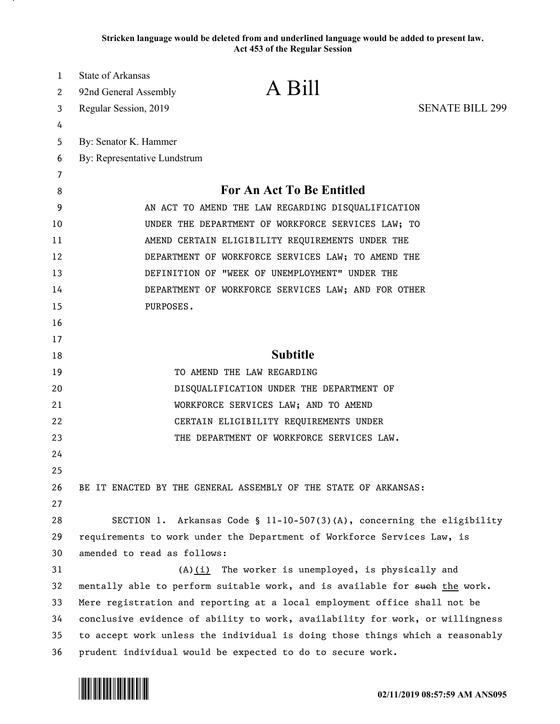**Stricken language would be deleted from and underlined language would be added to present law. Act 453 of the Regular Session**

| 1  | State of Arkansas                                                             |
|----|-------------------------------------------------------------------------------|
| 2  | A Bill<br>92nd General Assembly                                               |
| 3  | <b>SENATE BILL 299</b><br>Regular Session, 2019                               |
| 4  |                                                                               |
| 5  | By: Senator K. Hammer                                                         |
| 6  | By: Representative Lundstrum                                                  |
| 7  |                                                                               |
| 8  | For An Act To Be Entitled                                                     |
| 9  | AN ACT TO AMEND THE LAW REGARDING DISQUALIFICATION                            |
| 10 | UNDER THE DEPARTMENT OF WORKFORCE SERVICES LAW; TO                            |
| 11 | AMEND CERTAIN ELIGIBILITY REQUIREMENTS UNDER THE                              |
| 12 | DEPARTMENT OF WORKFORCE SERVICES LAW; TO AMEND THE                            |
| 13 | DEFINITION OF "WEEK OF UNEMPLOYMENT" UNDER THE                                |
| 14 | DEPARTMENT OF WORKFORCE SERVICES LAW; AND FOR OTHER                           |
| 15 | PURPOSES.                                                                     |
| 16 |                                                                               |
| 17 |                                                                               |
| 18 | <b>Subtitle</b>                                                               |
| 19 | TO AMEND THE LAW REGARDING                                                    |
| 20 | DISQUALIFICATION UNDER THE DEPARTMENT OF                                      |
| 21 | WORKFORCE SERVICES LAW; AND TO AMEND                                          |
| 22 | CERTAIN ELIGIBILITY REQUIREMENTS UNDER                                        |
| 23 | THE DEPARTMENT OF WORKFORCE SERVICES LAW.                                     |
| 24 |                                                                               |
| 25 |                                                                               |
| 26 | BE IT ENACTED BY THE GENERAL ASSEMBLY OF THE STATE OF ARKANSAS:               |
| 27 |                                                                               |
| 28 | SECTION 1. Arkansas Code § 11-10-507(3)(A), concerning the eligibility        |
| 29 | requirements to work under the Department of Workforce Services Law, is       |
| 30 | amended to read as follows:                                                   |
| 31 | $(A)$ (i) The worker is unemployed, is physically and                         |
| 32 | mentally able to perform suitable work, and is available for such the work.   |
| 33 | Mere registration and reporting at a local employment office shall not be     |
| 34 | conclusive evidence of ability to work, availability for work, or willingness |
| 35 | to accept work unless the individual is doing those things which a reasonably |
| 36 | prudent individual would be expected to do to secure work.                    |

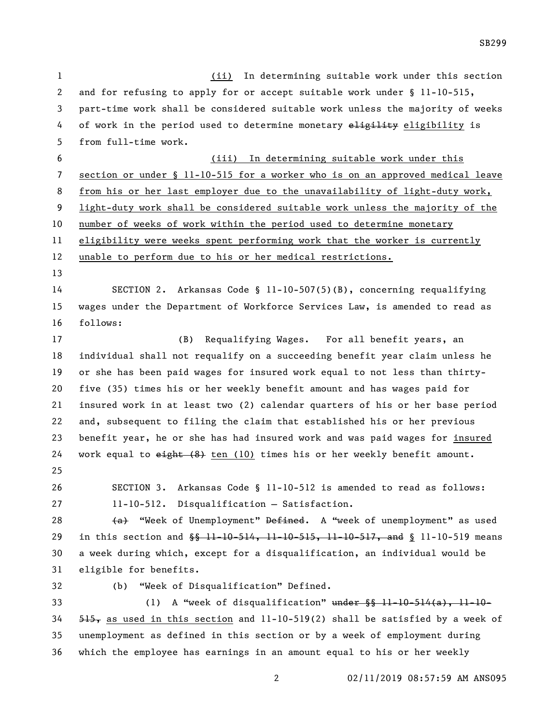(ii) In determining suitable work under this section and for refusing to apply for or accept suitable work under § 11-10-515, part-time work shall be considered suitable work unless the majority of weeks 4 of work in the period used to determine monetary eligibility is from full-time work. (iii) In determining suitable work under this section or under § 11-10-515 for a worker who is on an approved medical leave 8 from his or her last employer due to the unavailability of light-duty work, light-duty work shall be considered suitable work unless the majority of the number of weeks of work within the period used to determine monetary eligibility were weeks spent performing work that the worker is currently unable to perform due to his or her medical restrictions. SECTION 2. Arkansas Code § 11-10-507(5)(B), concerning requalifying wages under the Department of Workforce Services Law, is amended to read as follows: (B) Requalifying Wages. For all benefit years, an individual shall not requalify on a succeeding benefit year claim unless he or she has been paid wages for insured work equal to not less than thirty- five (35) times his or her weekly benefit amount and has wages paid for insured work in at least two (2) calendar quarters of his or her base period and, subsequent to filing the claim that established his or her previous benefit year, he or she has had insured work and was paid wages for insured 24 work equal to  $e^{i}$ ht (8) ten (10) times his or her weekly benefit amount. SECTION 3. Arkansas Code § 11-10-512 is amended to read as follows: 11-10-512. Disqualification — Satisfaction. 28 (a) "Week of Unemployment" Defined. A "week of unemployment" as used 29 in this section and  $\frac{66}{9}$  11-10-544, 11-10-515, 11-10-517, and § 11-10-519 means a week during which, except for a disqualification, an individual would be eligible for benefits. (b) "Week of Disqualification" Defined. 33 (1) A "week of disqualification" under  $\S$   $\S$   $11-10-514(a)$ ,  $11-10-$ , as used in this section and 11-10-519(2) shall be satisfied by a week of unemployment as defined in this section or by a week of employment during which the employee has earnings in an amount equal to his or her weekly

SB299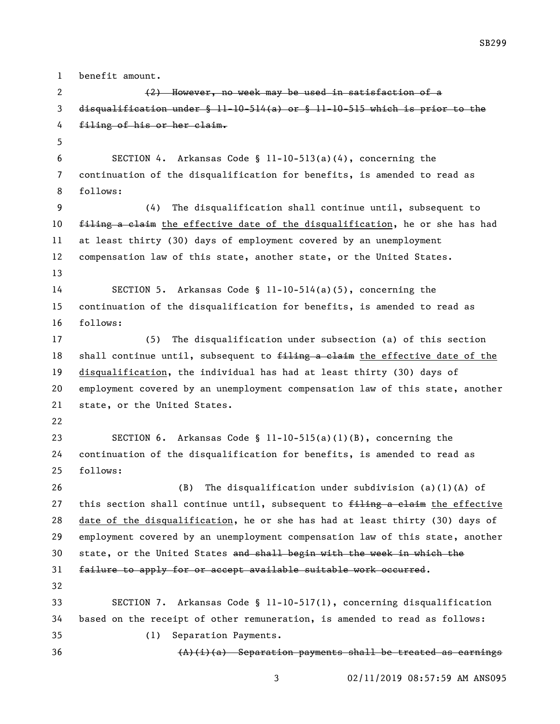benefit amount. (2) However, no week may be used in satisfaction of a disqualification under § 11-10-514(a) or § 11-10-515 which is prior to the filing of his or her claim. SECTION 4. Arkansas Code § 11-10-513(a)(4), concerning the continuation of the disqualification for benefits, is amended to read as follows: (4) The disqualification shall continue until, subsequent to 10 filing a claim the effective date of the disqualification, he or she has had at least thirty (30) days of employment covered by an unemployment compensation law of this state, another state, or the United States. SECTION 5. Arkansas Code § 11-10-514(a)(5), concerning the continuation of the disqualification for benefits, is amended to read as follows: (5) The disqualification under subsection (a) of this section 18 shall continue until, subsequent to filing a claim the effective date of the disqualification, the individual has had at least thirty (30) days of employment covered by an unemployment compensation law of this state, another state, or the United States. SECTION 6. Arkansas Code § 11-10-515(a)(1)(B), concerning the continuation of the disqualification for benefits, is amended to read as follows: (B) The disqualification under subdivision (a)(1)(A) of 27 this section shall continue until, subsequent to  $f$ iling a claim the effective date of the disqualification, he or she has had at least thirty (30) days of employment covered by an unemployment compensation law of this state, another state, or the United States and shall begin with the week in which the failure to apply for or accept available suitable work occurred. SECTION 7. Arkansas Code § 11-10-517(1), concerning disqualification based on the receipt of other remuneration, is amended to read as follows: (1) Separation Payments.  $(A)(i)(a)$  Separation payments shall be treated as earnings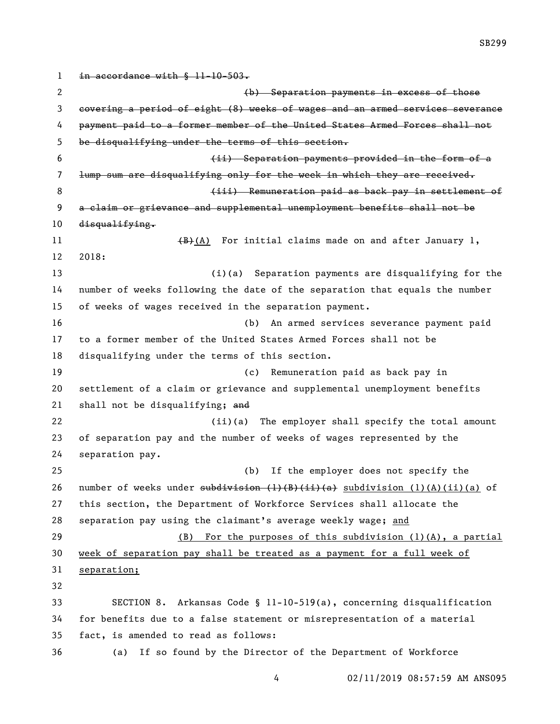1 in accordance with § 11-10-503. (b) Separation payments in excess of those covering a period of eight (8) weeks of wages and an armed services severance payment paid to a former member of the United States Armed Forces shall not be disqualifying under the terms of this section. (ii) Separation payments provided in the form of a lump sum are disqualifying only for the week in which they are received. **8** (iii) Remuneration paid as back pay in settlement of a claim or grievance and supplemental unemployment benefits shall not be 10 disqualifying. 11 (B)(A) For initial claims made on and after January 1, 2018: (i)(a) Separation payments are disqualifying for the number of weeks following the date of the separation that equals the number of weeks of wages received in the separation payment. (b) An armed services severance payment paid to a former member of the United States Armed Forces shall not be disqualifying under the terms of this section. (c) Remuneration paid as back pay in settlement of a claim or grievance and supplemental unemployment benefits shall not be disqualifying; and 22 (ii)(a) The employer shall specify the total amount of separation pay and the number of weeks of wages represented by the separation pay. (b) If the employer does not specify the 26 number of weeks under  $\frac{\text{subdivision}(1)(B)(ii)(a)}{a}$  subdivision (1)(A)(ii)(a) of this section, the Department of Workforce Services shall allocate the separation pay using the claimant's average weekly wage; and (B) For the purposes of this subdivision (1)(A), a partial week of separation pay shall be treated as a payment for a full week of separation; SECTION 8. Arkansas Code § 11-10-519(a), concerning disqualification for benefits due to a false statement or misrepresentation of a material fact, is amended to read as follows: (a) If so found by the Director of the Department of Workforce

SB299

02/11/2019 08:57:59 AM ANS095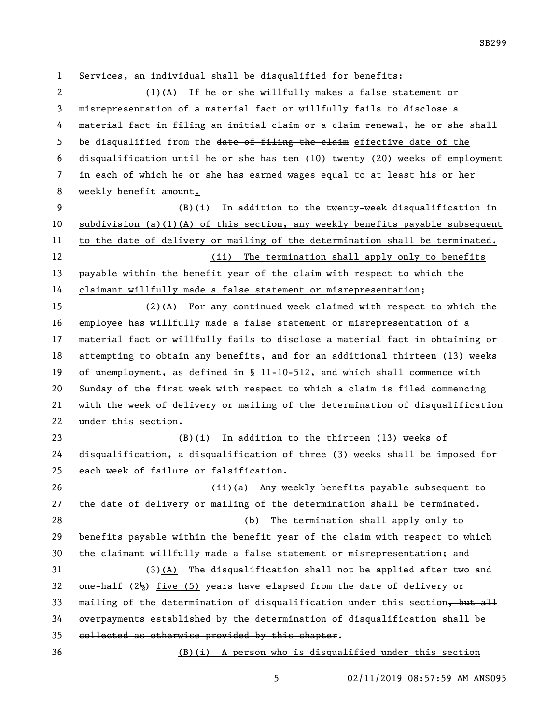Services, an individual shall be disqualified for benefits:

 (1)(A) If he or she willfully makes a false statement or misrepresentation of a material fact or willfully fails to disclose a material fact in filing an initial claim or a claim renewal, he or she shall 5 be disqualified from the date of filing the claim effective date of the 6 disqualification until he or she has  $t_{en}$  (10) twenty (20) weeks of employment in each of which he or she has earned wages equal to at least his or her weekly benefit amount.

 (B)(i) In addition to the twenty-week disqualification in subdivision (a)(1)(A) of this section, any weekly benefits payable subsequent to the date of delivery or mailing of the determination shall be terminated. (ii) The termination shall apply only to benefits payable within the benefit year of the claim with respect to which the claimant willfully made a false statement or misrepresentation;

 (2)(A) For any continued week claimed with respect to which the employee has willfully made a false statement or misrepresentation of a material fact or willfully fails to disclose a material fact in obtaining or attempting to obtain any benefits, and for an additional thirteen (13) weeks of unemployment, as defined in § 11-10-512, and which shall commence with Sunday of the first week with respect to which a claim is filed commencing with the week of delivery or mailing of the determination of disqualification under this section.

 (B)(i) In addition to the thirteen (13) weeks of disqualification, a disqualification of three (3) weeks shall be imposed for each week of failure or falsification.

 (ii)(a) Any weekly benefits payable subsequent to the date of delivery or mailing of the determination shall be terminated. (b) The termination shall apply only to benefits payable within the benefit year of the claim with respect to which the claimant willfully made a false statement or misrepresentation; and 31 (3)(A) The disqualification shall not be applied after two and 32 one-half  $(2\frac{1}{2})$  five (5) years have elapsed from the date of delivery or 33 mailing of the determination of disqualification under this section, but all

 overpayments established by the determination of disqualification shall be collected as otherwise provided by this chapter.

(B)(i) A person who is disqualified under this section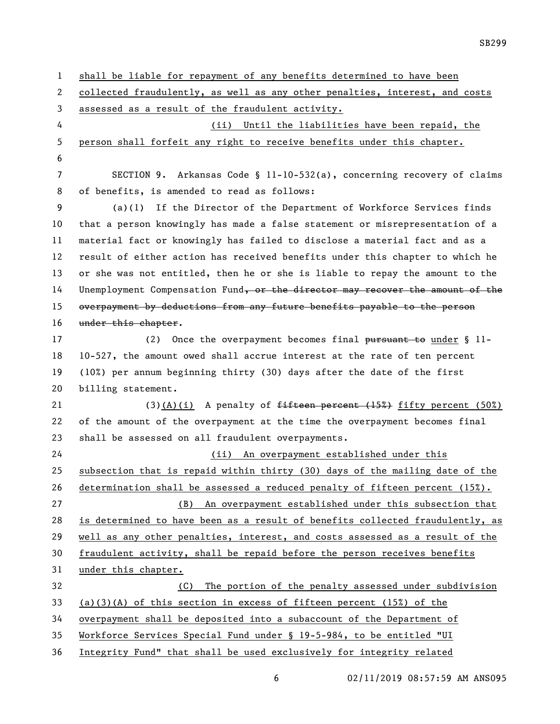shall be liable for repayment of any benefits determined to have been collected fraudulently, as well as any other penalties, interest, and costs assessed as a result of the fraudulent activity. (ii) Until the liabilities have been repaid, the person shall forfeit any right to receive benefits under this chapter. SECTION 9. Arkansas Code § 11-10-532(a), concerning recovery of claims of benefits, is amended to read as follows: (a)(1) If the Director of the Department of Workforce Services finds that a person knowingly has made a false statement or misrepresentation of a material fact or knowingly has failed to disclose a material fact and as a result of either action has received benefits under this chapter to which he or she was not entitled, then he or she is liable to repay the amount to the 14 Unemployment Compensation Fund, or the director may recover the amount of the overpayment by deductions from any future benefits payable to the person 16 under this chapter. 17 (2) Once the overpayment becomes final pursuant to under § 11- 10-527, the amount owed shall accrue interest at the rate of ten percent (10%) per annum beginning thirty (30) days after the date of the first billing statement. 21 (3)(A)(i) A penalty of  $f$ ifteen percent (15%) fifty percent (50%) of the amount of the overpayment at the time the overpayment becomes final shall be assessed on all fraudulent overpayments. (ii) An overpayment established under this subsection that is repaid within thirty (30) days of the mailing date of the determination shall be assessed a reduced penalty of fifteen percent (15%). (B) An overpayment established under this subsection that is determined to have been as a result of benefits collected fraudulently, as well as any other penalties, interest, and costs assessed as a result of the fraudulent activity, shall be repaid before the person receives benefits under this chapter. (C) The portion of the penalty assessed under subdivision (a)(3)(A) of this section in excess of fifteen percent (15%) of the overpayment shall be deposited into a subaccount of the Department of Workforce Services Special Fund under § 19-5-984, to be entitled "UI Integrity Fund" that shall be used exclusively for integrity related

02/11/2019 08:57:59 AM ANS095